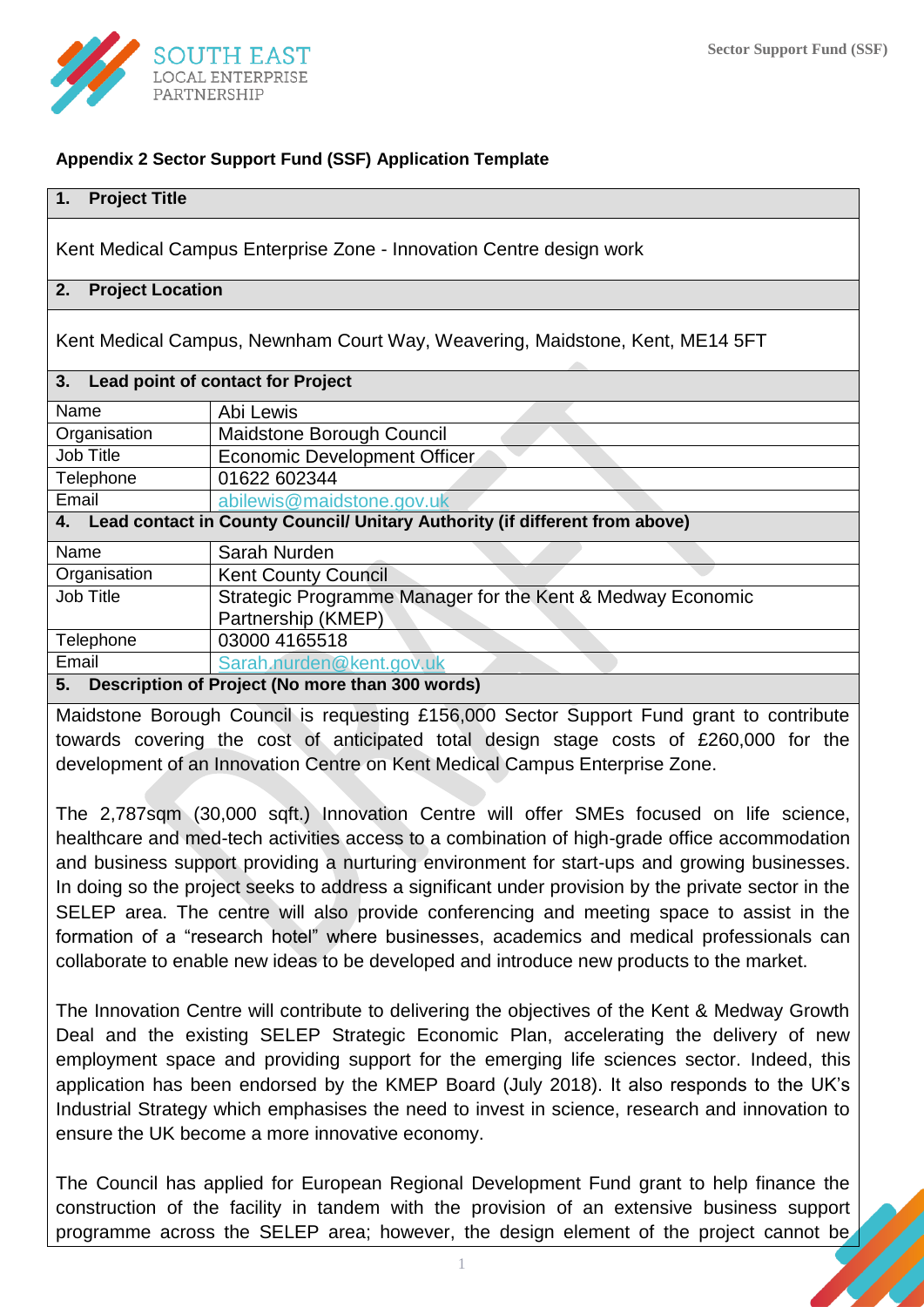

### **Appendix 2 Sector Support Fund (SSF) Application Template**

#### **1. Project Title**

Kent Medical Campus Enterprise Zone - Innovation Centre design work

### **2. Project Location**

Kent Medical Campus, Newnham Court Way, Weavering, Maidstone, Kent, ME14 5FT

| 3. Lead point of contact for Project                                           |                                                            |  |  |  |  |
|--------------------------------------------------------------------------------|------------------------------------------------------------|--|--|--|--|
|                                                                                |                                                            |  |  |  |  |
| Name                                                                           | Abi Lewis                                                  |  |  |  |  |
| Organisation                                                                   | Maidstone Borough Council                                  |  |  |  |  |
| Job Title                                                                      | Economic Development Officer                               |  |  |  |  |
| Telephone                                                                      | 01622 602344                                               |  |  |  |  |
| Email                                                                          | abilewis@maidstone.gov.uk                                  |  |  |  |  |
| 4. Lead contact in County Council/ Unitary Authority (if different from above) |                                                            |  |  |  |  |
| Name                                                                           | Sarah Nurden                                               |  |  |  |  |
| Organisation                                                                   | <b>Kent County Council</b>                                 |  |  |  |  |
| Job Title                                                                      | Strategic Programme Manager for the Kent & Medway Economic |  |  |  |  |
|                                                                                | Partnership (KMEP)                                         |  |  |  |  |
| Telephone                                                                      | 03000 4165518                                              |  |  |  |  |
| Email                                                                          | Sarah.nurden@kent.gov.uk                                   |  |  |  |  |
| Description of Project (No more than 300 words)<br>5.                          |                                                            |  |  |  |  |

Maidstone Borough Council is requesting £156,000 Sector Support Fund grant to contribute towards covering the cost of anticipated total design stage costs of £260,000 for the development of an Innovation Centre on Kent Medical Campus Enterprise Zone.

The 2,787sqm (30,000 sqft.) Innovation Centre will offer SMEs focused on life science, healthcare and med-tech activities access to a combination of high-grade office accommodation and business support providing a nurturing environment for start-ups and growing businesses. In doing so the project seeks to address a significant under provision by the private sector in the SELEP area. The centre will also provide conferencing and meeting space to assist in the formation of a "research hotel" where businesses, academics and medical professionals can collaborate to enable new ideas to be developed and introduce new products to the market.

The Innovation Centre will contribute to delivering the objectives of the Kent & Medway Growth Deal and the existing SELEP Strategic Economic Plan, accelerating the delivery of new employment space and providing support for the emerging life sciences sector. Indeed, this application has been endorsed by the KMEP Board (July 2018). It also responds to the UK's Industrial Strategy which emphasises the need to invest in science, research and innovation to ensure the UK become a more innovative economy.

The Council has applied for European Regional Development Fund grant to help finance the construction of the facility in tandem with the provision of an extensive business support programme across the SELEP area; however, the design element of the project cannot be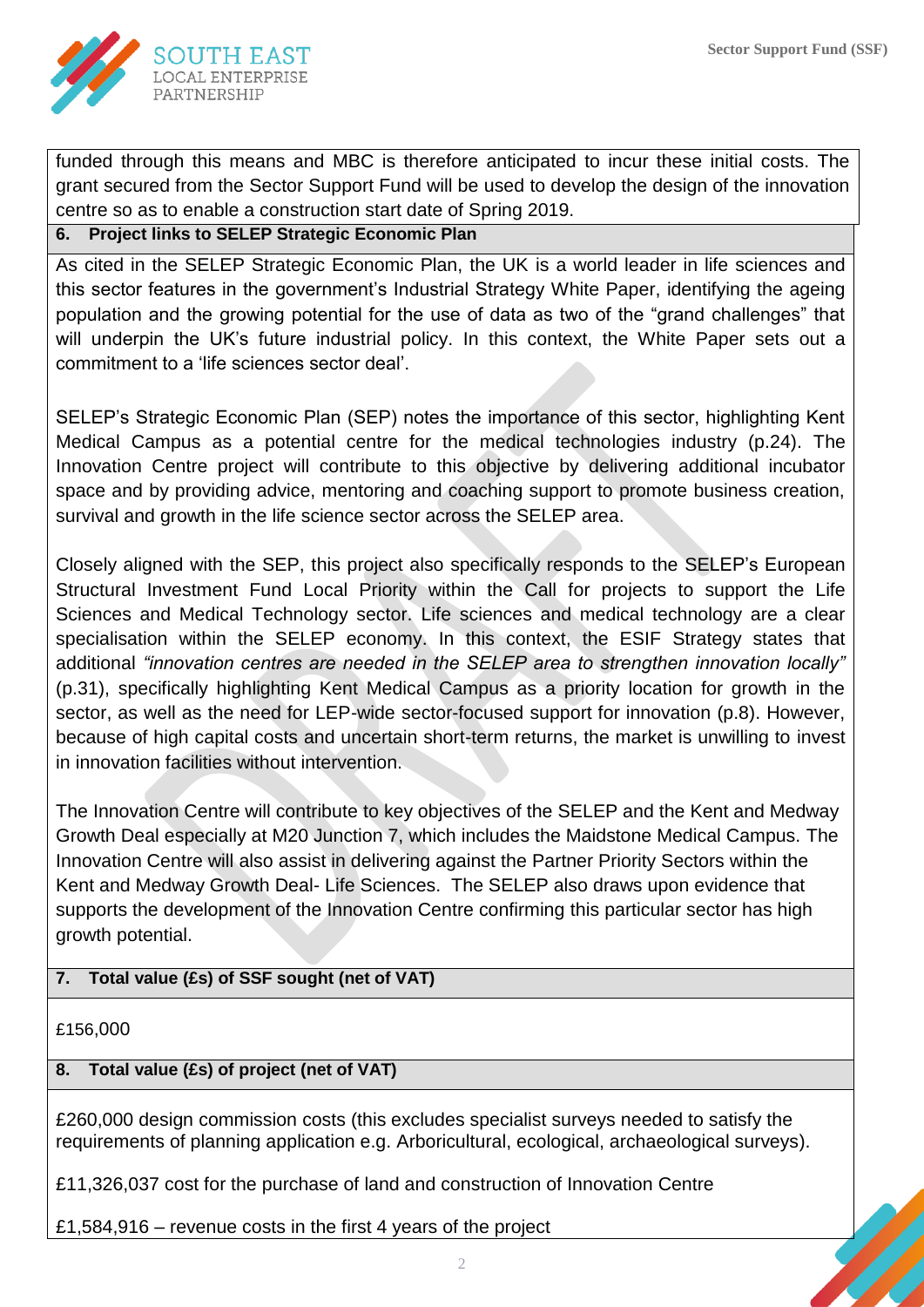

funded through this means and MBC is therefore anticipated to incur these initial costs. The grant secured from the Sector Support Fund will be used to develop the design of the innovation centre so as to enable a construction start date of Spring 2019.

### **6. Project links to SELEP Strategic Economic Plan**

As cited in the SELEP Strategic Economic Plan, the UK is a world leader in life sciences and this sector features in the government's Industrial Strategy White Paper, identifying the ageing population and the growing potential for the use of data as two of the "grand challenges" that will underpin the UK's future industrial policy. In this context, the White Paper sets out a commitment to a 'life sciences sector deal'.

SELEP's Strategic Economic Plan (SEP) notes the importance of this sector, highlighting Kent Medical Campus as a potential centre for the medical technologies industry (p.24). The Innovation Centre project will contribute to this objective by delivering additional incubator space and by providing advice, mentoring and coaching support to promote business creation, survival and growth in the life science sector across the SELEP area.

Closely aligned with the SEP, this project also specifically responds to the SELEP's European Structural Investment Fund Local Priority within the Call for projects to support the Life Sciences and Medical Technology sector. Life sciences and medical technology are a clear specialisation within the SELEP economy. In this context, the ESIF Strategy states that additional *"innovation centres are needed in the SELEP area to strengthen innovation locally"*  (p.31), specifically highlighting Kent Medical Campus as a priority location for growth in the sector, as well as the need for LEP-wide sector-focused support for innovation (p.8). However, because of high capital costs and uncertain short-term returns, the market is unwilling to invest in innovation facilities without intervention.

The Innovation Centre will contribute to key objectives of the SELEP and the Kent and Medway Growth Deal especially at M20 Junction 7, which includes the Maidstone Medical Campus. The Innovation Centre will also assist in delivering against the Partner Priority Sectors within the Kent and Medway Growth Deal- Life Sciences. The SELEP also draws upon evidence that supports the development of the Innovation Centre confirming this particular sector has high growth potential.

# **7. Total value (£s) of SSF sought (net of VAT)**

£156,000

# **8. Total value (£s) of project (net of VAT)**

£260,000 design commission costs (this excludes specialist surveys needed to satisfy the requirements of planning application e.g. Arboricultural, ecological, archaeological surveys).

£11,326,037 cost for the purchase of land and construction of Innovation Centre

£1,584,916 – revenue costs in the first 4 years of the project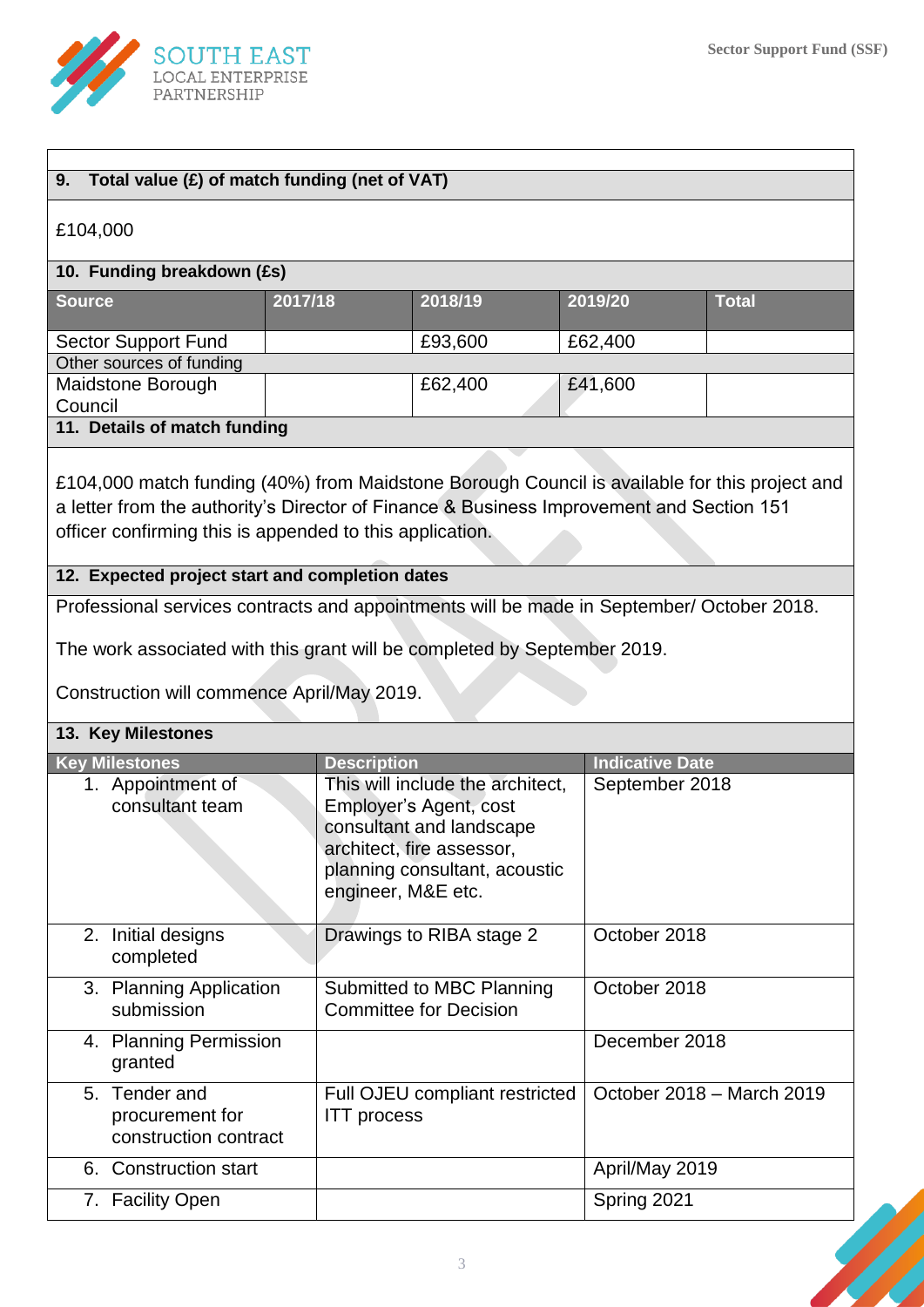

|                            | £104,000                                                                                                                                                                                                                                              |                    |                                                                                                                                                      |                        |                           |
|----------------------------|-------------------------------------------------------------------------------------------------------------------------------------------------------------------------------------------------------------------------------------------------------|--------------------|------------------------------------------------------------------------------------------------------------------------------------------------------|------------------------|---------------------------|
| 10. Funding breakdown (£s) |                                                                                                                                                                                                                                                       |                    |                                                                                                                                                      |                        |                           |
| <b>Source</b>              |                                                                                                                                                                                                                                                       | 2017/18            | 2018/19                                                                                                                                              | 2019/20                | <b>Total</b>              |
|                            | <b>Sector Support Fund</b>                                                                                                                                                                                                                            |                    | £93,600                                                                                                                                              | £62,400                |                           |
|                            | Other sources of funding                                                                                                                                                                                                                              |                    |                                                                                                                                                      |                        |                           |
| Council                    | Maidstone Borough                                                                                                                                                                                                                                     |                    | £62,400                                                                                                                                              | £41,600                |                           |
|                            | 11. Details of match funding                                                                                                                                                                                                                          |                    |                                                                                                                                                      |                        |                           |
|                            | £104,000 match funding (40%) from Maidstone Borough Council is available for this project and<br>a letter from the authority's Director of Finance & Business Improvement and Section 151<br>officer confirming this is appended to this application. |                    |                                                                                                                                                      |                        |                           |
|                            | 12. Expected project start and completion dates                                                                                                                                                                                                       |                    |                                                                                                                                                      |                        |                           |
|                            | Professional services contracts and appointments will be made in September/ October 2018.                                                                                                                                                             |                    |                                                                                                                                                      |                        |                           |
|                            | The work associated with this grant will be completed by September 2019.                                                                                                                                                                              |                    |                                                                                                                                                      |                        |                           |
|                            | Construction will commence April/May 2019.                                                                                                                                                                                                            |                    |                                                                                                                                                      |                        |                           |
|                            |                                                                                                                                                                                                                                                       |                    |                                                                                                                                                      |                        |                           |
|                            |                                                                                                                                                                                                                                                       |                    |                                                                                                                                                      |                        |                           |
|                            | 13. Key Milestones                                                                                                                                                                                                                                    |                    |                                                                                                                                                      |                        |                           |
|                            | <b>Key Milestones</b>                                                                                                                                                                                                                                 | <b>Description</b> |                                                                                                                                                      | <b>Indicative Date</b> |                           |
|                            | 1. Appointment of<br>consultant team                                                                                                                                                                                                                  | engineer, M&E etc. | This will include the architect,<br>Employer's Agent, cost<br>consultant and landscape<br>architect, fire assessor,<br>planning consultant, acoustic | September 2018         |                           |
|                            | 2. Initial designs<br>completed                                                                                                                                                                                                                       |                    | Drawings to RIBA stage 2                                                                                                                             | October 2018           |                           |
|                            | 3. Planning Application<br>submission                                                                                                                                                                                                                 |                    | Submitted to MBC Planning<br><b>Committee for Decision</b>                                                                                           | October 2018           |                           |
|                            | 4. Planning Permission<br>granted                                                                                                                                                                                                                     |                    |                                                                                                                                                      | December 2018          |                           |
|                            | 5. Tender and<br>procurement for<br>construction contract                                                                                                                                                                                             | <b>ITT</b> process | Full OJEU compliant restricted                                                                                                                       |                        | October 2018 - March 2019 |
|                            | 6. Construction start                                                                                                                                                                                                                                 |                    |                                                                                                                                                      | April/May 2019         |                           |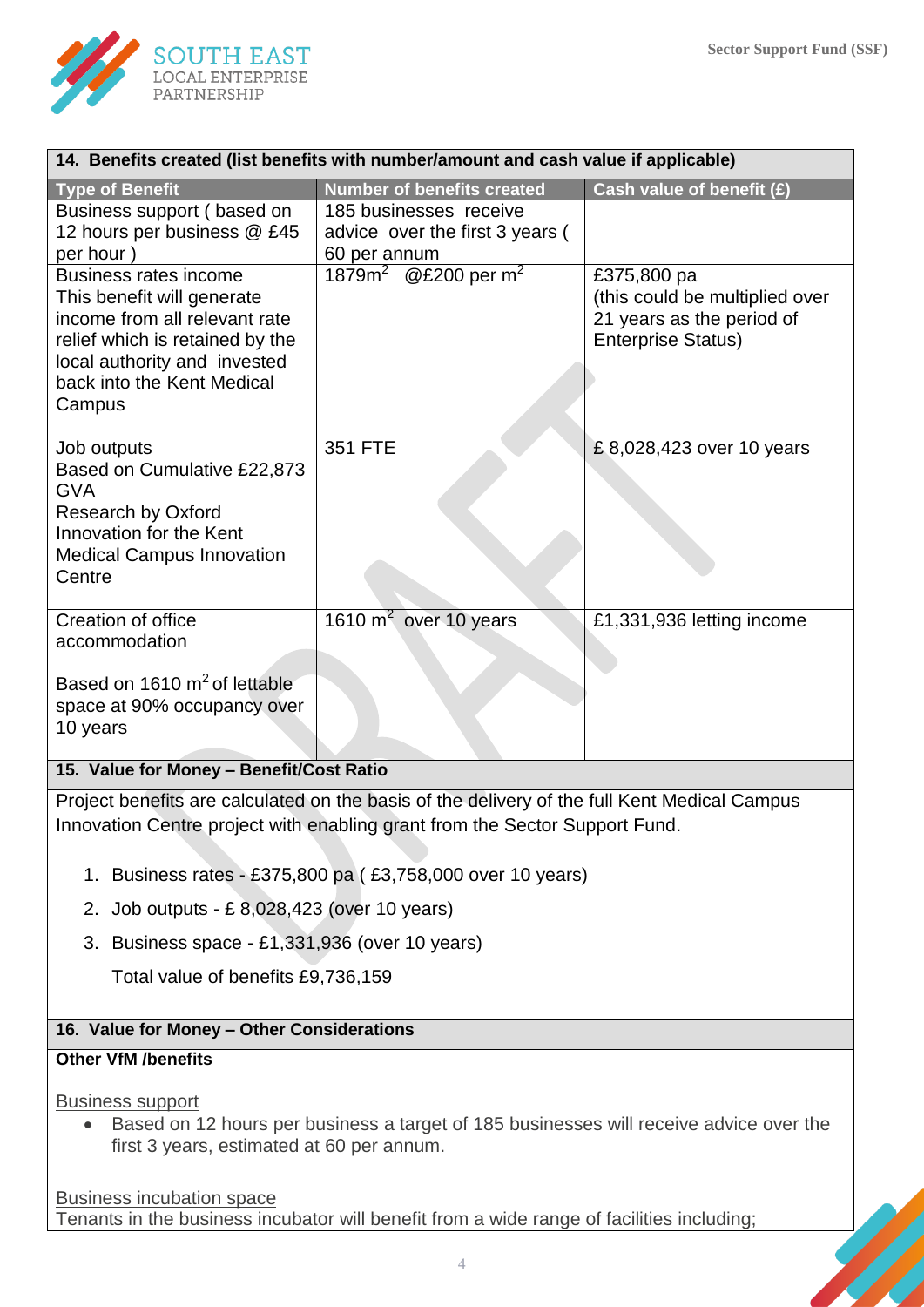

| 14. Benefits created (iist benefits with number/amount and cash value if applicable)                                                                                                                   |                                                                           |                                                                                                         |  |  |  |
|--------------------------------------------------------------------------------------------------------------------------------------------------------------------------------------------------------|---------------------------------------------------------------------------|---------------------------------------------------------------------------------------------------------|--|--|--|
| <b>Type of Benefit</b>                                                                                                                                                                                 | <b>Number of benefits created</b>                                         | Cash value of benefit (£)                                                                               |  |  |  |
| Business support (based on<br>12 hours per business @ £45<br>per hour)                                                                                                                                 | 185 businesses receive<br>advice over the first 3 years (<br>60 per annum |                                                                                                         |  |  |  |
| <b>Business rates income</b><br>This benefit will generate<br>income from all relevant rate<br>relief which is retained by the<br>local authority and invested<br>back into the Kent Medical<br>Campus | 1879 $m^2$ @ £200 per m <sup>2</sup>                                      | £375,800 pa<br>(this could be multiplied over<br>21 years as the period of<br><b>Enterprise Status)</b> |  |  |  |
| Job outputs<br>Based on Cumulative £22,873<br><b>GVA</b><br>Research by Oxford<br>Innovation for the Kent<br><b>Medical Campus Innovation</b><br>Centre                                                | 351 FTE                                                                   | £8,028,423 over 10 years                                                                                |  |  |  |
| Creation of office<br>accommodation<br>Based on 1610 m <sup>2</sup> of lettable<br>space at 90% occupancy over<br>10 years<br>.                                                                        | $\overline{1610 \text{ m}^2}$ over 10 years                               | £1,331,936 letting income                                                                               |  |  |  |

**14. Benefits created (list benefits with number/amount and cash value if applicable)**

# **15. Value for Money – Benefit/Cost Ratio**

Project benefits are calculated on the basis of the delivery of the full Kent Medical Campus Innovation Centre project with enabling grant from the Sector Support Fund.

- 1. Business rates £375,800 pa ( £3,758,000 over 10 years)
- 2. Job outputs £ 8,028,423 (over 10 years)
- 3. Business space £1,331,936 (over 10 years)

Total value of benefits £9,736,159

### **16. Value for Money – Other Considerations**

#### **Other VfM /benefits**

Business support

 Based on 12 hours per business a target of 185 businesses will receive advice over the first 3 years, estimated at 60 per annum.

Business incubation space Tenants in the business incubator will benefit from a wide range of facilities including;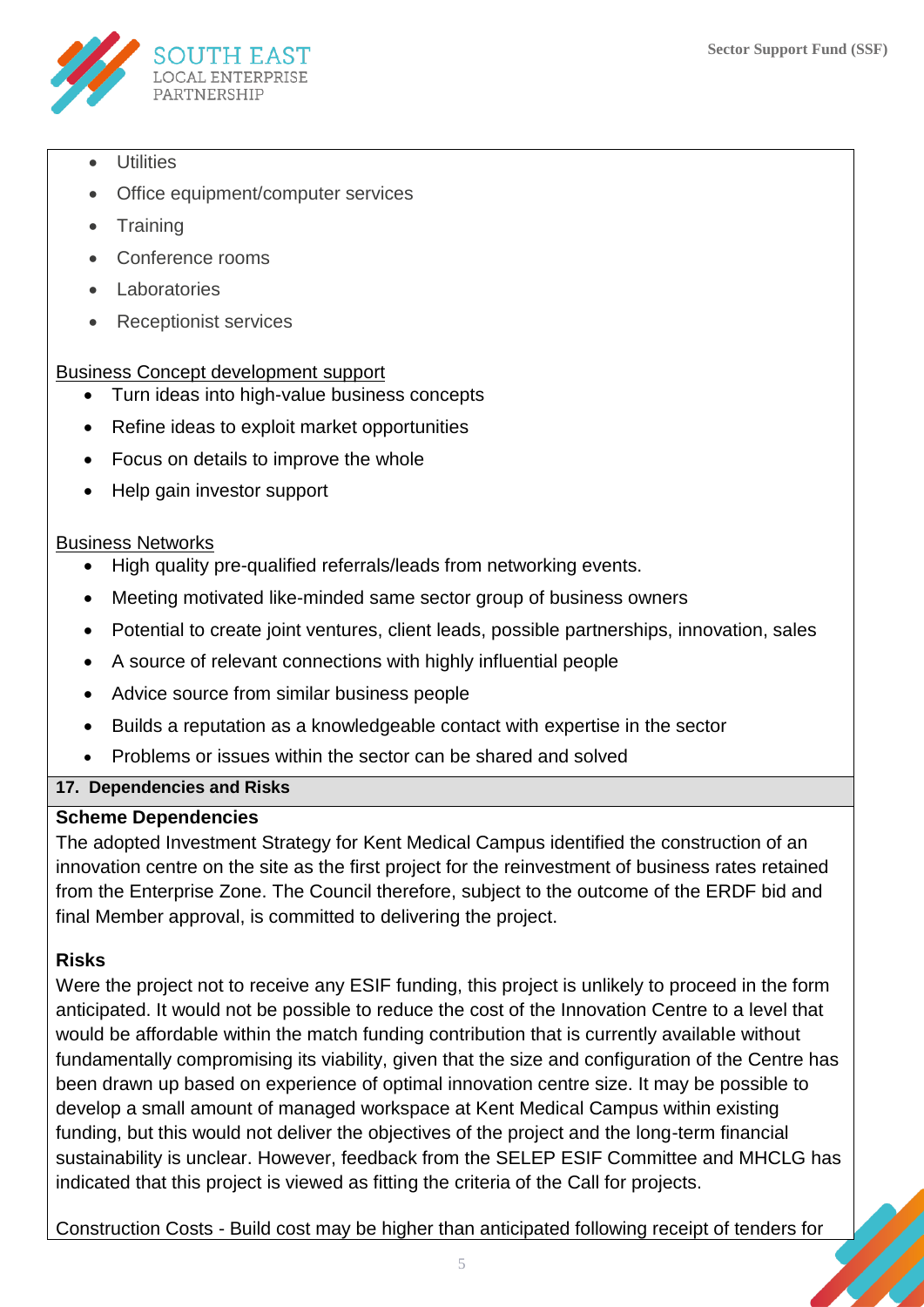

- **Utilities**
- Office equipment/computer services
- **Training**
- Conference rooms
- Laboratories
- Receptionist services

# Business Concept development support

- Turn ideas into high-value business concepts
- Refine ideas to exploit market opportunities
- Focus on details to improve the whole
- Help gain investor support

# Business Networks

- High quality pre-qualified referrals/leads from networking events.
- Meeting motivated like-minded same sector group of business owners
- Potential to create joint ventures, client leads, possible partnerships, innovation, sales
- A source of relevant connections with highly influential people
- Advice source from similar business people
- Builds a reputation as a knowledgeable contact with expertise in the sector
- Problems or issues within the sector can be shared and solved

# **17. Dependencies and Risks**

# **Scheme Dependencies**

The adopted Investment Strategy for Kent Medical Campus identified the construction of an innovation centre on the site as the first project for the reinvestment of business rates retained from the Enterprise Zone. The Council therefore, subject to the outcome of the ERDF bid and final Member approval, is committed to delivering the project.

# **Risks**

Were the project not to receive any ESIF funding, this project is unlikely to proceed in the form anticipated. It would not be possible to reduce the cost of the Innovation Centre to a level that would be affordable within the match funding contribution that is currently available without fundamentally compromising its viability, given that the size and configuration of the Centre has been drawn up based on experience of optimal innovation centre size. It may be possible to develop a small amount of managed workspace at Kent Medical Campus within existing funding, but this would not deliver the objectives of the project and the long-term financial sustainability is unclear. However, feedback from the SELEP ESIF Committee and MHCLG has indicated that this project is viewed as fitting the criteria of the Call for projects.

Construction Costs - Build cost may be higher than anticipated following receipt of tenders for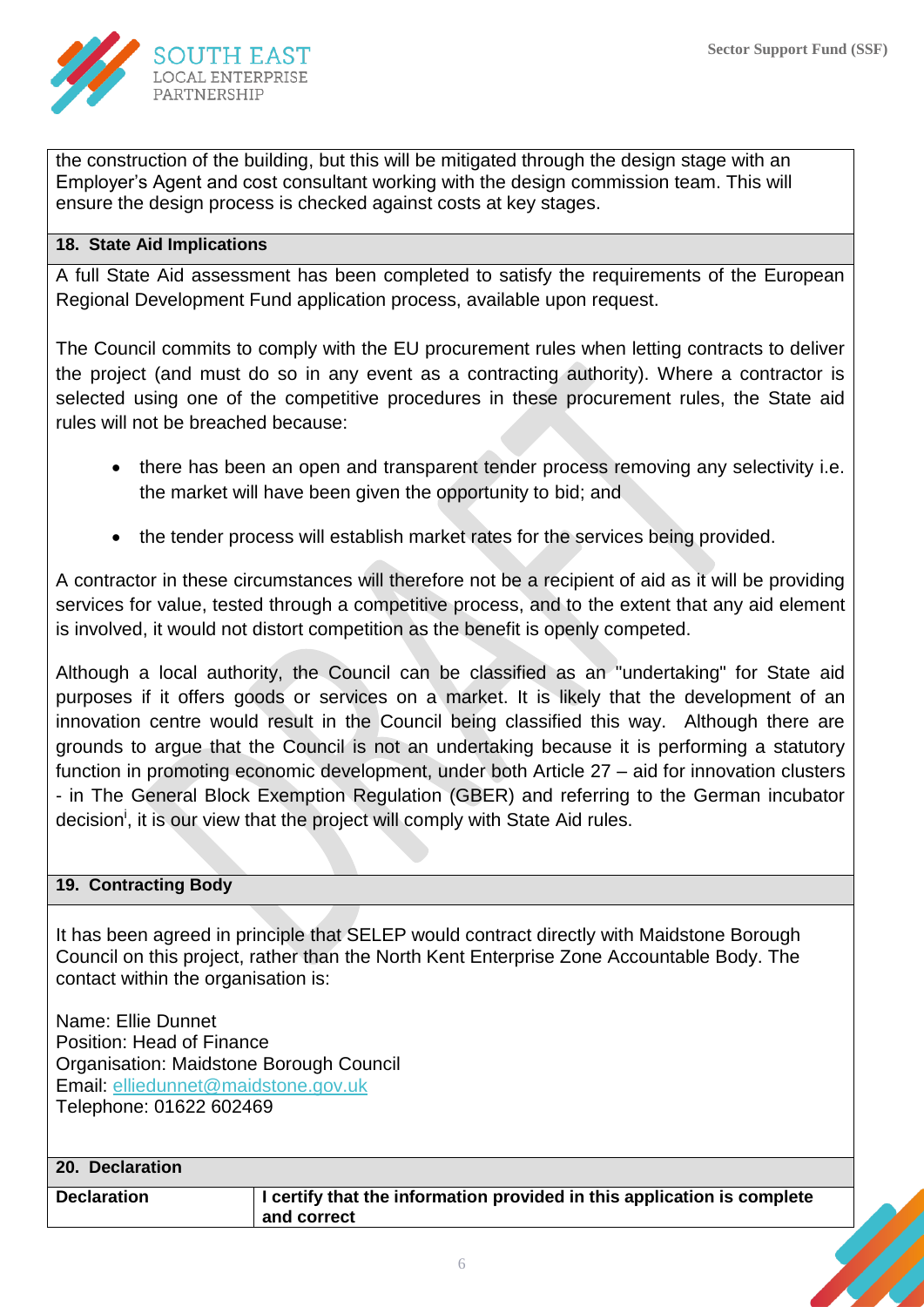

the construction of the building, but this will be mitigated through the design stage with an Employer's Agent and cost consultant working with the design commission team. This will ensure the design process is checked against costs at key stages.

### **18. State Aid Implications**

A full State Aid assessment has been completed to satisfy the requirements of the European Regional Development Fund application process, available upon request.

The Council commits to comply with the EU procurement rules when letting contracts to deliver the project (and must do so in any event as a contracting authority). Where a contractor is selected using one of the competitive procedures in these procurement rules, the State aid rules will not be breached because:

- there has been an open and transparent tender process removing any selectivity i.e. the market will have been given the opportunity to bid; and
- the tender process will establish market rates for the services being provided.

A contractor in these circumstances will therefore not be a recipient of aid as it will be providing services for value, tested through a competitive process, and to the extent that any aid element is involved, it would not distort competition as the benefit is openly competed.

Although a local authority, the Council can be classified as an "undertaking" for State aid purposes if it offers goods or services on a market. It is likely that the development of an innovation centre would result in the Council being classified this way. Although there are grounds to argue that the Council is not an undertaking because it is performing a statutory function in promoting economic development, under both Article 27 – aid for innovation clusters - in The General Block Exemption Regulation (GBER) and referring to the German incubator decision<sup>i</sup>, it is our view that the project will comply with State Aid rules.

### **19. Contracting Body**

It has been agreed in principle that SELEP would contract directly with Maidstone Borough Council on this project, rather than the North Kent Enterprise Zone Accountable Body. The contact within the organisation is:

Name: Ellie Dunnet Position: Head of Finance Organisation: Maidstone Borough Council Email: [elliedunnet@maidstone.gov.uk](mailto:elliedunnet@maidstone.gov.uk)  Telephone: 01622 602469

| 20. Declaration    |                                                                                        |
|--------------------|----------------------------------------------------------------------------------------|
| <b>Declaration</b> | I certify that the information provided in this application is complete<br>and correct |